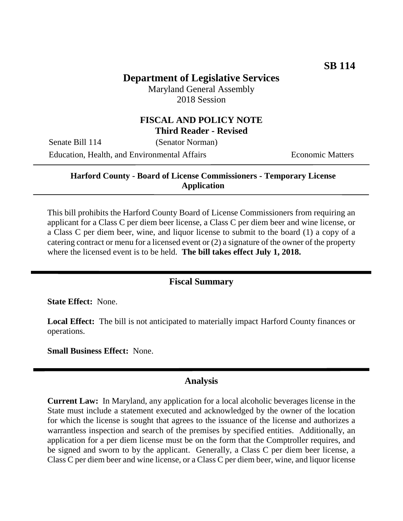## **Department of Legislative Services**

Maryland General Assembly 2018 Session

### **FISCAL AND POLICY NOTE Third Reader - Revised**

Senate Bill 114 (Senator Norman)

Education, Health, and Environmental Affairs Theorem Economic Matters

**Harford County - Board of License Commissioners - Temporary License Application**

This bill prohibits the Harford County Board of License Commissioners from requiring an applicant for a Class C per diem beer license, a Class C per diem beer and wine license, or a Class C per diem beer, wine, and liquor license to submit to the board (1) a copy of a catering contract or menu for a licensed event or (2) a signature of the owner of the property where the licensed event is to be held. **The bill takes effect July 1, 2018.**

## **Fiscal Summary**

**State Effect:** None.

**Local Effect:** The bill is not anticipated to materially impact Harford County finances or operations.

**Small Business Effect:** None.

### **Analysis**

**Current Law:** In Maryland, any application for a local alcoholic beverages license in the State must include a statement executed and acknowledged by the owner of the location for which the license is sought that agrees to the issuance of the license and authorizes a warrantless inspection and search of the premises by specified entities. Additionally, an application for a per diem license must be on the form that the Comptroller requires, and be signed and sworn to by the applicant. Generally, a Class C per diem beer license, a Class C per diem beer and wine license, or a Class C per diem beer, wine, and liquor license